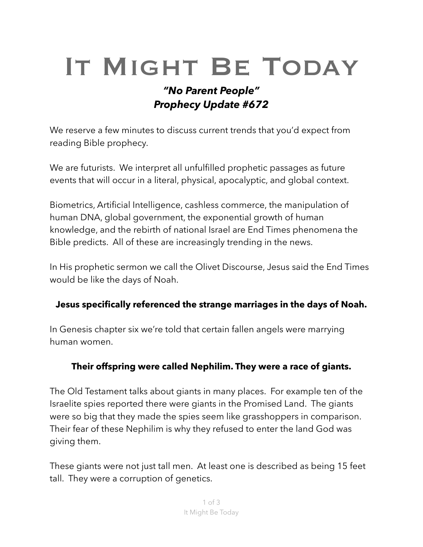# IT MIGHT BE TODAY

## *"No Parent People" Prophecy Update #672*

We reserve a few minutes to discuss current trends that you'd expect from reading Bible prophecy.

We are futurists. We interpret all unfulfilled prophetic passages as future events that will occur in a literal, physical, apocalyptic, and global context.

Biometrics, Artificial Intelligence, cashless commerce, the manipulation of human DNA, global government, the exponential growth of human knowledge, and the rebirth of national Israel are End Times phenomena the Bible predicts. All of these are increasingly trending in the news.

In His prophetic sermon we call the Olivet Discourse, Jesus said the End Times would be like the days of Noah.

### **Jesus specifically referenced the strange marriages in the days of Noah.**

In Genesis chapter six we're told that certain fallen angels were marrying human women.

#### **Their offspring were called Nephilim. They were a race of giants.**

The Old Testament talks about giants in many places. For example ten of the Israelite spies reported there were giants in the Promised Land. The giants were so big that they made the spies seem like grasshoppers in comparison. Their fear of these Nephilim is why they refused to enter the land God was giving them.

These giants were not just tall men. At least one is described as being 15 feet tall. They were a corruption of genetics.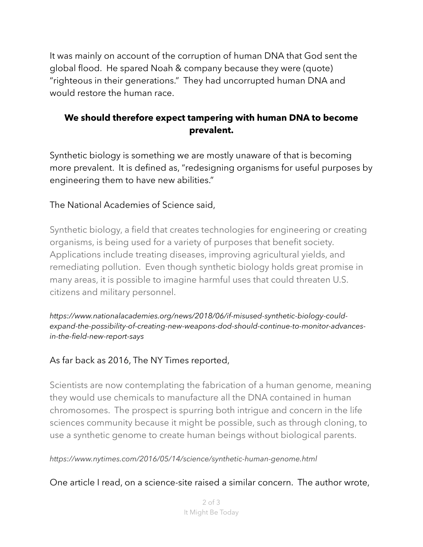It was mainly on account of the corruption of human DNA that God sent the global flood. He spared Noah & company because they were (quote) "righteous in their generations." They had uncorrupted human DNA and would restore the human race.

#### **We should therefore expect tampering with human DNA to become prevalent.**

Synthetic biology is something we are mostly unaware of that is becoming more prevalent. It is defined as, "redesigning organisms for useful purposes by engineering them to have new abilities."

#### The National Academies of Science said,

Synthetic biology, a field that creates technologies for engineering or creating organisms, is being used for a variety of purposes that benefit society. Applications include treating diseases, improving agricultural yields, and remediating pollution. Even though synthetic biology holds great promise in many areas, it is possible to imagine harmful uses that could threaten U.S. citizens and military personnel.

*[https://www.nationalacademies.org/news/2018/06/if-misused-synthetic-biology-could](https://www.nationalacademies.org/news/2018/06/if-misused-synthetic-biology-could-expand-the-possibility-of-creating-new-weapons-dod-should-continue-to-monitor-advances-in-the-field-new-report-says)[expand-the-possibility-of-creating-new-weapons-dod-should-continue-to-monitor-advances](https://www.nationalacademies.org/news/2018/06/if-misused-synthetic-biology-could-expand-the-possibility-of-creating-new-weapons-dod-should-continue-to-monitor-advances-in-the-field-new-report-says)[in-the-field-new-report-says](https://www.nationalacademies.org/news/2018/06/if-misused-synthetic-biology-could-expand-the-possibility-of-creating-new-weapons-dod-should-continue-to-monitor-advances-in-the-field-new-report-says)*

#### As far back as 2016, The NY Times reported,

Scientists are now contemplating the fabrication of a [human genome](https://www.nytimes.com/2021/07/23/science/human-genome-complete.html), meaning they would use chemicals to manufacture all the DNA contained in human chromosomes. The prospect is spurring both intrigue and concern in the life sciences community because it might be possible, such as through cloning, to use a synthetic genome to create human beings without biological parents.

#### *https://www.nytimes.com/2016/05/14/science/synthetic-human-genome.html*

One article I read, on a science-site raised a similar concern. The author wrote,